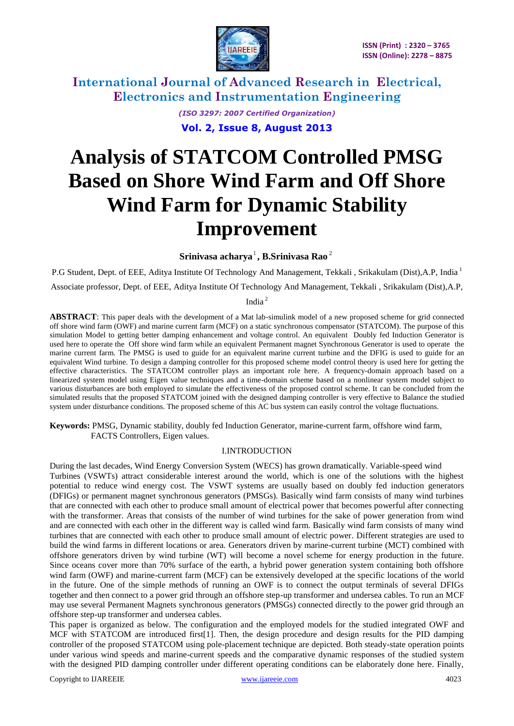

> *(ISO 3297: 2007 Certified Organization)* **Vol. 2, Issue 8, August 2013**

# **Analysis of STATCOM Controlled PMSG Based on Shore Wind Farm and Off Shore Wind Farm for Dynamic Stability Improvement**

**Srinivasa acharya** 1 **, B.Srinivasa Rao** 2

P.G Student, Dept. of EEE, Aditya Institute Of Technology And Management, Tekkali, Srikakulam (Dist),A.P, India <sup>1</sup> Associate professor, Dept. of EEE, Aditya Institute Of Technology And Management, Tekkali , Srikakulam (Dist),A.P,

India <sup>2</sup>

**ABSTRACT**: This paper deals with the development of a Mat lab-simulink model of a new proposed scheme for grid connected off shore wind farm (OWF) and marine current farm (MCF) on a static synchronous compensator (STATCOM). The purpose of this simulation Model to getting better damping enhancement and voltage control. An equivalent Doubly fed Induction Generator is used here to operate the Off shore wind farm while an equivalent Permanent magnet Synchronous Generator is used to operate the marine current farm. The PMSG is used to guide for an equivalent marine current turbine and the DFIG is used to guide for an equivalent Wind turbine. To design a damping controller for this proposed scheme model control theory is used here for getting the effective characteristics. The STATCOM controller plays an important role here. A frequency-domain approach based on a linearized system model using Eigen value techniques and a time-domain scheme based on a nonlinear system model subject to various disturbances are both employed to simulate the effectiveness of the proposed control scheme. It can be concluded from the simulated results that the proposed STATCOM joined with the designed damping controller is very effective to Balance the studied system under disturbance conditions. The proposed scheme of this AC bus system can easily control the voltage fluctuations.

**Keywords:** PMSG, Dynamic stability, doubly fed Induction Generator, marine-current farm, offshore wind farm, FACTS Controllers, Eigen values.

### I.INTRODUCTION

During the last decades, Wind Energy Conversion System (WECS) has grown dramatically. Variable-speed wind Turbines (VSWTs) attract considerable interest around the world, which is one of the solutions with the highest potential to reduce wind energy cost. The VSWT systems are usually based on doubly fed induction generators (DFIGs) or permanent magnet synchronous generators (PMSGs). Basically wind farm consists of many wind turbines that are connected with each other to produce small amount of electrical power that becomes powerful after connecting with the transformer. Areas that consists of the number of wind turbines for the sake of power generation from wind and are connected with each other in the different way is called wind farm. Basically wind farm consists of many wind turbines that are connected with each other to produce small amount of electric power. Different strategies are used to build the wind farms in different locations or area. Generators driven by marine-current turbine (MCT) combined with offshore generators driven by wind turbine (WT) will become a novel scheme for energy production in the future. Since oceans cover more than 70% surface of the earth, a hybrid power generation system containing both offshore wind farm (OWF) and marine-current farm (MCF) can be extensively developed at the specific locations of the world in the future. One of the simple methods of running an OWF is to connect the output terminals of several DFIGs together and then connect to a power grid through an offshore step-up transformer and undersea cables. To run an MCF may use several Permanent Magnets synchronous generators (PMSGs) connected directly to the power grid through an offshore step-up transformer and undersea cables.

This paper is organized as below. The configuration and the employed models for the studied integrated OWF and MCF with STATCOM are introduced first[1]. Then, the design procedure and design results for the PID damping controller of the proposed STATCOM using pole-placement technique are depicted. Both steady-state operation points under various wind speeds and marine-current speeds and the comparative dynamic responses of the studied system with the designed PID damping controller under different operating conditions can be elaborately done here. Finally,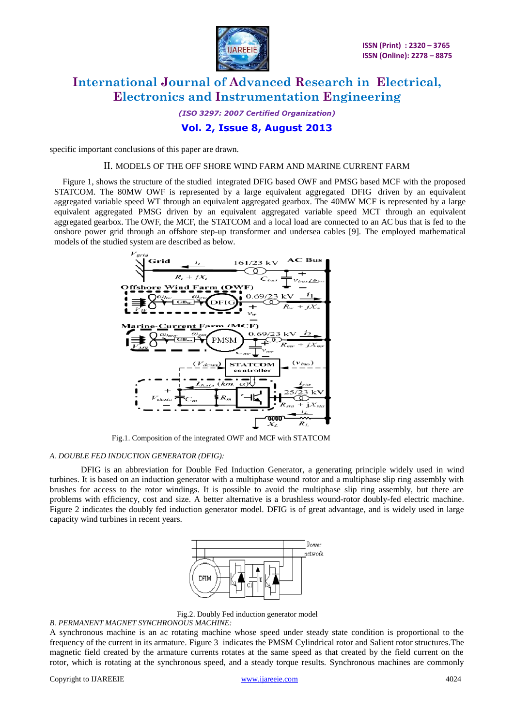

*(ISO 3297: 2007 Certified Organization)*

### **Vol. 2, Issue 8, August 2013**

specific important conclusions of this paper are drawn.

#### II. MODELS OF THE OFF SHORE WIND FARM AND MARINE CURRENT FARM

Figure 1, shows the structure of the studied integrated DFIG based OWF and PMSG based MCF with the proposed STATCOM. The 80MW OWF is represented by a large equivalent aggregated DFIG driven by an equivalent aggregated variable speed WT through an equivalent aggregated gearbox. The 40MW MCF is represented by a large equivalent aggregated PMSG driven by an equivalent aggregated variable speed MCT through an equivalent aggregated gearbox. The OWF, the MCF, the STATCOM and a local load are connected to an AC bus that is fed to the onshore power grid through an offshore step-up transformer and undersea cables [9]. The employed mathematical models of the studied system are described as below.



Fig.1. Composition of the integrated OWF and MCF with STATCOM

#### *A. DOUBLE FED INDUCTION GENERATOR (DFIG):*

DFIG is an abbreviation for Double Fed Induction Generator, a generating principle widely used in [wind](http://en.wikipedia.org/wiki/Wind_turbine)  [turbines.](http://en.wikipedia.org/wiki/Wind_turbine) It is based on an [induction generator](http://en.wikipedia.org/wiki/Induction_generator) with a multiphase wound rotor and a multiphase slip ring assembly with brushes for access to the rotor windings. It is possible to avoid the multiphase slip ring assembly, but there are problems with efficiency, cost and size. A better alternative is a [brushless wound-rotor doubly-fed electric machine.](http://en.wikipedia.org/wiki/Doubly-fed_electric_machine#Brushless_wound-rotor_doubly-fed_electric_machine) Figure 2 indicates the doubly fed induction generator model. DFIG is of great advantage, and is widely used in large capacity wind turbines in recent years.



Fig.2. Doubly Fed induction generator model

#### *B. PERMANENT MAGNET SYNCHRONOUS MACHINE:*

A synchronous machine is an ac rotating machine whose speed under steady state condition is proportional to the frequency of the current in its armature. Figure 3 indicates the PMSM Cylindrical rotor and Salient rotor structures.The magnetic field created by the armature currents rotates at the same speed as that created by the field current on the rotor, which is rotating at the synchronous speed, and a steady torque results. Synchronous machines are commonly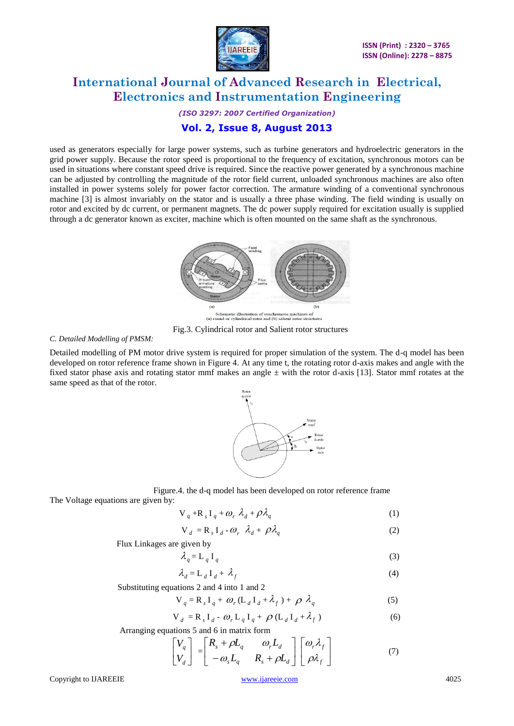

*(ISO 3297: 2007 Certified Organization)*

### **Vol. 2, Issue 8, August 2013**

used as generators especially for large power systems, such as turbine generators and hydroelectric generators in the grid power supply. Because the rotor speed is proportional to the frequency of excitation, synchronous motors can be used in situations where constant speed drive is required. Since the reactive power generated by a synchronous machine can be adjusted by controlling the magnitude of the rotor field current, unloaded synchronous machines are also often installed in power systems solely for power factor correction. The armature winding of a conventional synchronous machine [3] is almost invariably on the stator and is usually a three phase winding. The field winding is usually on rotor and excited by dc current, or permanent magnets. The dc power supply required for excitation usually is supplied through a dc generator known as exciter, machine which is often mounted on the same shaft as the synchronous.



Fig.3. Cylindrical rotor and Salient rotor structures

*C. Detailed Modelling of PMSM:*

Detailed modelling of PM motor drive system is required for proper simulation of the system. The d-q model has been developed on rotor reference frame shown in Figure 4. At any time t, the rotating rotor d-axis makes and angle with the fixed stator phase axis and rotating stator mmf makes an angle  $\pm$  with the rotor d-axis [13]. Stator mmf rotates at the same speed as that of the rotor.



 Figure.4. the d-q model has been developed on rotor reference frame The Voltage equations are given by:

$$
V_q + R_s I_q + \omega_r \lambda_d + \rho \lambda_q \tag{1}
$$

$$
V_d = R_s I_d - \omega_r \lambda_d + \rho \lambda_q
$$
 (2)

Flux Linkages are given by

$$
\lambda_q = \mathbf{L}_q \, \mathbf{I}_q \tag{3}
$$

$$
\lambda_d = \mathbf{L}_d \mathbf{I}_d + \lambda_f \tag{4}
$$

Substituting equations 2 and 4 into 1 and 2

$$
V_q = R_s I_q + \omega_r (L_d I_d + \lambda_f) + \rho \lambda_q
$$
 (5)

$$
\mathbf{V}_d = \mathbf{R}_s \mathbf{I}_d - \boldsymbol{\omega}_r \mathbf{L}_q \mathbf{I}_q + \boldsymbol{\rho} (\mathbf{L}_d \mathbf{I}_d + \lambda_f)
$$
 (6)

Arranging equations 5 and 6 in matrix form

$$
\begin{bmatrix} V_q \\ V_d \end{bmatrix} = \begin{bmatrix} R_s + \rho L_q & \omega_r L_d \\ -\omega_s L_q & R_s + \rho L_d \end{bmatrix} \begin{bmatrix} \omega_r \lambda_f \\ \rho \lambda_f \end{bmatrix}
$$
(7)

Copyright to IJAREEIE [www.ijareeie.com](http://www.ijareeie.com/) 4025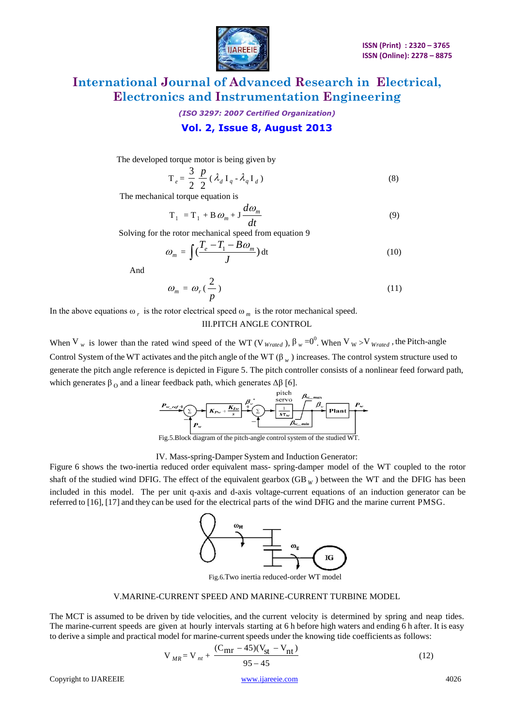

*(ISO 3297: 2007 Certified Organization)*

### **Vol. 2, Issue 8, August 2013**

The developed torque motor is being given by

$$
\mathbf{T}_e = \frac{3}{2} \frac{p}{2} (\lambda_d \mathbf{I}_q - \lambda_q \mathbf{I}_d)
$$
 (8)

The mechanical torque equation is

$$
T_1 = T_1 + B \omega_m + J \frac{d\omega_m}{dt}
$$
 (9)

Solving for the rotor mechanical speed from equation 9

$$
\omega_m = \int \left(\frac{T_e - T_1 - B\omega_m}{J}\right) dt \tag{10}
$$

And

$$
\omega_m = \omega_r \left(\frac{2}{p}\right) \tag{11}
$$

In the above equations  $\omega_r$  is the rotor electrical speed  $\omega_m$  is the rotor mechanical speed.

### III.PITCH ANGLE CONTROL

When V<sub>w</sub> is lower than the rated wind speed of the WT (V<sub>Wrated</sub>),  $\beta_w = 0^0$ . When V<sub>W</sub>>V<sub>Wrated</sub>, the Pitch-angle Control System of the WT activates and the pitch angle of the WT  $(\beta_w)$  increases. The control system structure used to generate the pitch angle reference is depicted in Figure 5. The pitch controller consists of a nonlinear feed forward path, which generates  $\beta_0$  and a linear feedback path, which generates  $\Delta\beta$  [6].



Fig.5.Block diagram of the pitch-angle control system of the studied WT.

IV. Mass-spring-Damper System and Induction Generator:

Figure 6 shows the two-inertia reduced order equivalent mass- spring-damper model of the WT coupled to the rotor shaft of the studied wind DFIG. The effect of the equivalent gearbox  $(GB<sub>W</sub>)$  between the WT and the DFIG has been included in this model. The per unit q-axis and d-axis voltage-current equations of an induction generator can be referred to [16], [17] and they can be used for the electrical parts of the wind DFIG and the marine current PMSG.



Fig.6.Two inertia reduced-order WT model

#### V.MARINE-CURRENT SPEED AND MARINE-CURRENT TURBINE MODEL

The MCT is assumed to be driven by tide velocities, and the current velocity is determined by spring and neap tides. The marine-current speeds are given at hourly intervals starting at 6 h before high waters and ending 6 h after. It is easy to derive a simple and practical model for marine-current speeds under the knowing tide coefficients as follows:

$$
V_{MR} = V_{nt} + \frac{(C_{mr} - 45)(V_{st} - V_{nt})}{95 - 45}
$$
 (12)

Copyright to IJAREEIE [www.ijareeie.com](http://www.ijareeie.com/) 4026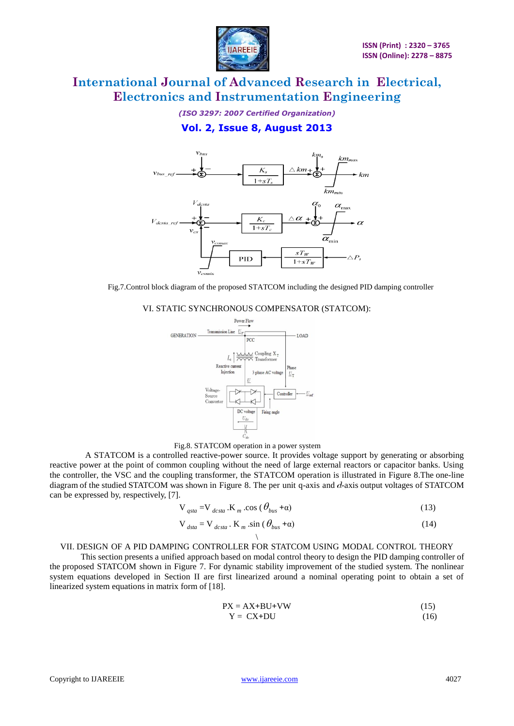

*(ISO 3297: 2007 Certified Organization)*

### **Vol. 2, Issue 8, August 2013**



Fig.7.Control block diagram of the proposed STATCOM including the designed PID damping controller

VI. STATIC SYNCHRONOUS COMPENSATOR (STATCOM):





 A STATCOM is a controlled reactive-power source. It provides voltage support by generating or absorbing reactive power at the point of common coupling without the need of large external reactors or capacitor banks. Using the controller, the VSC and the coupling transformer, the STATCOM operation is illustrated in Figure 8.The one-line diagram of the studied STATCOM was shown in Figure 8. The per unit q-axis and  $d$ -axis output voltages of STATCOM can be expressed by, respectively, [7].

$$
V_{gsta} = V_{dcsta} . K_m . cos (\theta_{bus} + \alpha)
$$
 (13)

$$
V_{\text{data}} = V_{\text{dcsta}} \cdot K_m \cdot \sin(\theta_{\text{bus}} + \alpha) \tag{14}
$$

#### \ VII. DESIGN OF A PID DAMPING CONTROLLER FOR STATCOM USING MODAL CONTROL THEORY

This section presents a unified approach based on modal control theory to design the PID damping controller of the proposed STATCOM shown in Figure 7. For dynamic stability improvement of the studied system. The nonlinear system equations developed in Section II are first linearized around a nominal operating point to obtain a set of linearized system equations in matrix form of [18].

$$
PX = AX + BU + VW
$$
\n
$$
Y = CX + DU
$$
\n(15)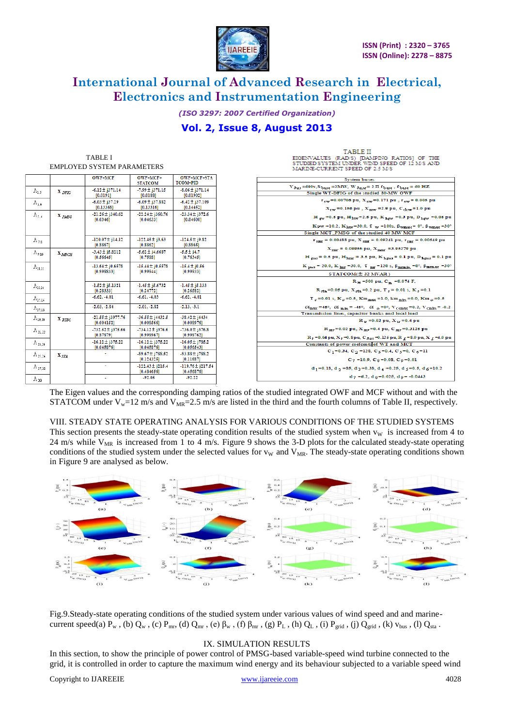

**TABLE II** 

# **International Journal of Advanced Research in Electrical, Electronics and Instrumentation Engineering**

*(ISO 3297: 2007 Certified Organization)*

### **Vol. 2, Issue 8, August 2013**

| <b>TABLE I</b>                    |                    |                                        |                                    |                                    |                                       | EIGENVALUES (RAD/S) [DAMPING RATIOS] OF THE                                                                                                                                                      |
|-----------------------------------|--------------------|----------------------------------------|------------------------------------|------------------------------------|---------------------------------------|--------------------------------------------------------------------------------------------------------------------------------------------------------------------------------------------------|
| <b>EMPLOYED SYSTEM PARAMETERS</b> |                    |                                        |                                    |                                    |                                       | STUDIED SYSTEM UNDER WIND SPEED OF 12 M/S AND<br>MARINE-CURRENT SPEED OF 2.5 M/S                                                                                                                 |
|                                   |                    |                                        | <b>OWF+MCF</b>                     | OWF+MCF+<br><b>STATCOM</b>         | <b>OWF+MCF+STA</b><br><b>TCOM+PID</b> | <b>System buses</b>                                                                                                                                                                              |
|                                   |                    |                                        | $-6.12 \pm j371.14$                | $-7.99 \pm i371.15$                | $-8.06 \pm j371.14$                   | V $\delta_{B25}$ =690v, S $_{\text{base}}$ =2MW, W $_{\delta_{B25}e}$ = 2 II f $_{\text{base}}$ , f $_{\text{base}}$ = 60 HZ                                                                     |
|                                   | $\Lambda_{1,2}$    | $\mathbf{X}_{DFIG}$                    | [0.0191]                           | [0.0188]                           | [0.01902]                             | Single WT-DFIG of the studied 80-MW OWF                                                                                                                                                          |
|                                   | $\Lambda_{3,4}$    |                                        | $-6.03 \pm i37.29$<br>[0.13368]    | $-6.09 \pm i37.882$<br>[0.13316]   | $-6.42 \pm i37.109$<br>[0.14452]      | $r_{\text{cm}}$ =0.00706 pu, X $_{\text{cm}}$ =0.171 pu, $r_{\text{cm}}$ = 0.005 pu<br>$X_{\text{TW}} = 0.156 \text{ pu}$ , $X_{\text{mw}} = 2.9 \text{ pu}$ , $C_{\text{dcw}} = 1.0 \text{ pu}$ |
|                                   | $\Lambda_{1,1}$    | $\mathbf{X}_{PMSG}$                    | $-21.26 \pm i340.62$<br>[0.0346]   | $-22.24 \pm i360.76$<br>[0.04633]  | $-23.34 \pm i372.6$<br>[0.04600]      | H $_{\text{rw}}$ =0.5 pu, H <sub>kW</sub> =2.5 pu, K $_{\text{hfw}}$ =0.3 pu, D $_{\text{hfw}}$ =0.05 pu                                                                                         |
|                                   |                    |                                        |                                    |                                    |                                       | K pw = 10.2, K <sub>hw</sub> = 30.0, 7 w = 100s, $\beta_{\text{Wmax}} = 0^{\circ}$ , $\beta_{\text{Wmax}} = 30^{\circ}$                                                                          |
|                                   |                    |                                        |                                    |                                    |                                       | Single MCT_PMSG of the studied 40 MW MCF                                                                                                                                                         |
|                                   | $\Lambda_{7,3}$    |                                        | $-120.07 \pm i14.12$<br>[0.8867]   | $-122.45 \pm i3.63$<br>10.88621    | $-124.5 \pm i9.82$<br>[0.8865]        | $r_{\text{snr}} = 0.00488 \text{ pu}, X_{\text{snr}} = 0.09241 \text{ pu}, r_{\text{rnr}} = 0.00549 \text{ pu}$                                                                                  |
|                                   |                    |                                        | $-3.43 \pm 15.8212$                | $-5.62 \pm i4.6687$                | $-5.5 \pm i4.7$                       | $X_{\text{rms}} = 0.09955 \text{ pu}, X_{\text{mmr}} = 3.95279 \text{ pu}$                                                                                                                       |
|                                   | $\Lambda_{9,10}$   | $\mathbf{X}_{M\mathcal{B}\mathrm{CH}}$ | [0.56645]                          | [0.7588]                           | [0.76345]                             | $H_{grav}$ = 0.5 pu, $H_{Pam}$ = 3.5 pu, $K_{hepm}$ = 0.1 pu, D <sub>hgma</sub> = 0.1 pu                                                                                                         |
|                                   | $\Lambda_{1112}$   |                                        | $-13.64 \pm i0.6578$               | $-15.44 \pm i0.5578$               | $-15.4 \pm j0.56$                     | $K_{\text{max}} = 20.0$ , $K_{\text{Im}T} = 30.0$ , $T_{\text{max}} = 120$ s, $\beta_{\text{min}m} = 0^{\circ}$ , $\beta_{\text{maxmax}} = 30^{\circ}$                                           |
|                                   |                    |                                        | [0.998833]                         | [0.99944]                          | [0.99933]                             | STATCOM(± 32 MVAR)                                                                                                                                                                               |
|                                   |                    |                                        |                                    |                                    |                                       | $R_{w}$ =500 pu, C <sub>m</sub> =0.074 F,                                                                                                                                                        |
|                                   | $\Lambda_{\rm BH}$ |                                        | $-1.52 \pm j5.1321$<br>[0.28333]   | $-1.45 \pm j5.6732$<br>[0.24772]   | $-1.45 \pm j5.133$<br>[0.26582]       | $R_{\text{obs}}$ =0.05 pu, $X_{\text{obs}}$ =0.2 pu, $T_c$ = 0.01 s, $K_c$ =0.1                                                                                                                  |
|                                   | $\Lambda_{15,14}$  |                                        | $-6.62, -4.01$                     | $-6.61, -4.03$                     | $-6.62, -4.01$                        | T <sub>c</sub> =0.01 s, K <sub>c</sub> =0.5, Km <sub>max</sub> =1.0, km <sub>min</sub> =0.0, Km <sub>o</sub> =0.5                                                                                |
|                                   | $\Lambda_{17.18}$  |                                        | $-2.03, -2.84$                     | $-2.01, -2.82$                     | $-2.13, -3.1$                         | $\alpha_{\text{max}} = 45^{\circ}, \ \alpha_{\text{min}} = -45^{\circ}, \ \alpha_{\text{max}} = 0^{\circ}, \ \text{V}_{\text{csmax}} = 0.2, \ \text{V}_{\text{cmin}} = -0.2$                     |
|                                   |                    |                                        | $-21.55 \pm j3977.76$              | $-36.55 \pm j4432.5$               | $-38.42 \pm i4434$                    | Transmission lines, capacitor banks and local load                                                                                                                                               |
|                                   | $\Lambda_{19,20}$  | X <sub>FIFC</sub>                      | [0.004152]                         | [0.008566]                         | [0.008976]                            | $R_w = 0.02$ pu, $X_w = 0.4$ pu                                                                                                                                                                  |
|                                   | $A_{11,22}$        |                                        | $-732.52 \pm j375.66$<br>[0.87879] | $-734.12 \pm i376.6$<br>[0.998967] | $-736.0 \pm 1376.8$<br>[0.998762]     | $R_{\mu\nu}$ =0.02 pu, $X_{\mu\nu}$ =0.4 pu, $C_{\mu\nu}$ =0.3125 pu                                                                                                                             |
|                                   |                    |                                        | $-16.12 \pm j375.22$               | $-16.12 \pm i375.22$               | $-16.05 \pm i785.2$                   | R <sub>1</sub> =0.04 pu, X <sub>1</sub> =0.8 pu, C <sub>bu</sub> , =0.125 pu, R <sub>1</sub> =8.0 pu, X <sub>1</sub> =4.0 pu                                                                     |
|                                   | $\Lambda_{23,24}$  |                                        | [0.045876]                         | [0.045876]                         | [0.056543]                            | Constants of power coefcents of WT and MCT                                                                                                                                                       |
|                                   | $\Lambda_{25,24}$  | $X_{STA}$                              |                                    | $-89.67 \pm i788.52$               | $-93.88 \pm i788.2$                   | C <sub>1</sub> =0.34, C <sub>2</sub> =128, C <sub>2</sub> =0.4, C <sub>3</sub> =0, C <sub>6</sub> =11                                                                                            |
|                                   |                    |                                        |                                    | [0.124325]                         | [0.11687]                             | $C_7 = 10.9$ , $C_8 = 0.08$ , $C_9 = 0.01$                                                                                                                                                       |
|                                   | $\Lambda_{27,28}$  |                                        | $\sim$                             | $-122.43 \pm i215.4$<br>[0.484656] | $-119.76 \pm i217.54$<br>[0.456876]   | d <sub>1</sub> =0.18, d <sub>2</sub> =85, d <sub>3</sub> =0.38, d <sub>4</sub> =0.25, d <sub>5</sub> =0.5, d <sub>6</sub> =10.2                                                                  |
|                                   | $\Lambda_{29}$     |                                        | $\sim$                             | $-92.05$                           | $-92.22$                              | $d_7 = 6.2$ , $d_8 = 0.025$ , $d_9 = -0.0443$                                                                                                                                                    |
|                                   |                    |                                        |                                    |                                    |                                       |                                                                                                                                                                                                  |

The Eigen values and the corresponding damping ratios of the studied integrated OWF and MCF without and with the STATCOM under  $V_w=12$  m/s and  $V_{MR}=2.5$  m/s are listed in the third and the fourth columns of Table II, respectively.

### VIII. STEADY STATE OPERATING ANALYSIS FOR VARIOUS CONDITIONS OF THE STUDIED SYSTEMS

This section presents the steady-state operating condition results of the studied system when  $v<sub>W</sub>$  is increased from 4 to 24 m/s while  $V_{MR}$  is increased from 1 to 4 m/s. Figure 9 shows the 3-D plots for the calculated steady-state operating conditions of the studied system under the selected values for  $v_W$  and  $V_{MR}$ . The steady-state operating conditions shown in Figure 9 are analysed as below.



Fig.9.Steady-state operating conditions of the studied system under various values of wind speed and and marinecurrent speed(a)  $P_w$ , (b)  $Q_w$ , (c)  $P_{mr}$ , (d)  $Q_{mr}$ , (e)  $\beta_w$ , (f)  $\beta_{mr}$ , (g)  $P_L$ , (h)  $Q_L$ , (i)  $P_{grid}$ , (j)  $Q_{grid}$ , (k)  $v_{bus}$ , (l)  $Q_{sta}$ .

#### IX. SIMULATION RESULTS

In this section, to show the principle of power control of PMSG-based variable-speed wind turbine connected to the grid, it is controlled in order to capture the maximum wind energy and its behaviour subjected to a variable speed wind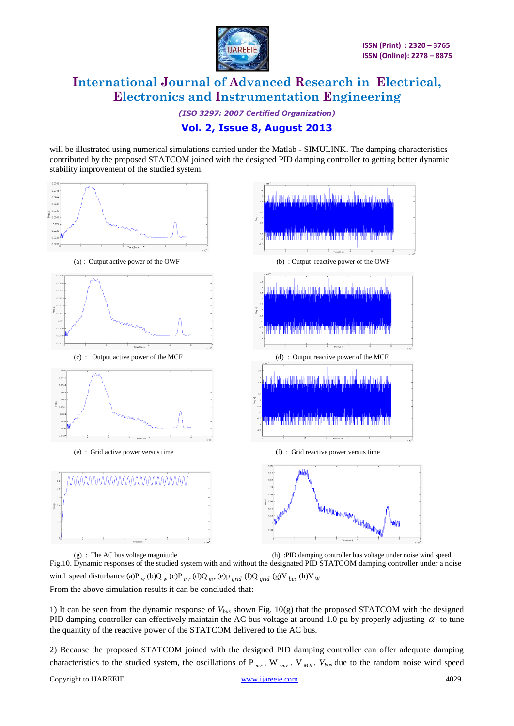

*(ISO 3297: 2007 Certified Organization)*

### **Vol. 2, Issue 8, August 2013**

will be illustrated using numerical simulations carried under the Matlab - SIMULINK. The damping characteristics contributed by the proposed STATCOM joined with the designed PID damping controller to getting better dynamic stability improvement of the studied system.



(g) : The AC bus voltage magnitude (h) :PID damping controller bus voltage under noise wind speed. Fig.10. Dynamic responses of the studied system with and without the designated PID STATCOM damping controller under a noise wind speed disturbance (a)P<sub>w</sub> (b)Q<sub>w</sub> (c)P<sub>mr</sub> (d)Q<sub>mr</sub> (e)p<sub>grid</sub> (f)Q<sub>grid</sub> (g)V<sub>bus</sub> (h)V<sub>W</sub> From the above simulation results it can be concluded that:

1) It can be seen from the dynamic response of  $V_{bws}$  shown Fig. 10(g) that the proposed STATCOM with the designed PID damping controller can effectively maintain the AC bus voltage at around 1.0 pu by properly adjusting  $\alpha$  to tune the quantity of the reactive power of the STATCOM delivered to the AC bus.

2) Because the proposed STATCOM joined with the designed PID damping controller can offer adequate damping characteristics to the studied system, the oscillations of P<sub>mr</sub>, W<sub>rmr</sub>, V<sub>MR</sub>, V<sub>bus</sub> due to the random noise wind speed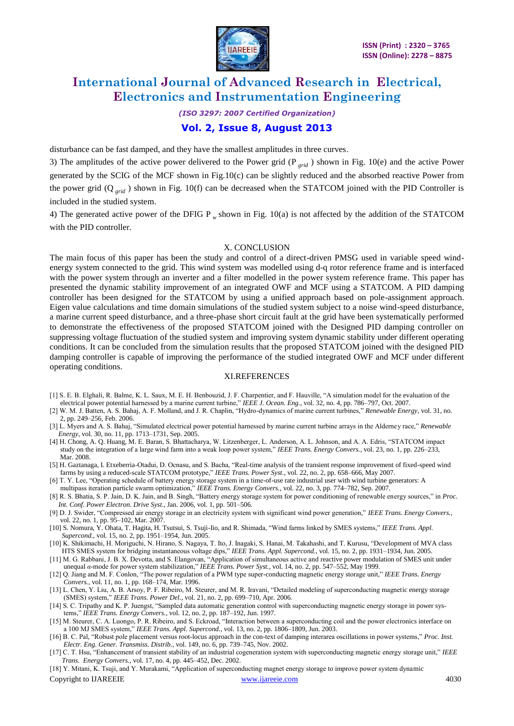

*(ISO 3297: 2007 Certified Organization)*

### **Vol. 2, Issue 8, August 2013**

disturbance can be fast damped, and they have the smallest amplitudes in three curves.

3) The amplitudes of the active power delivered to the Power grid (P *grid* ) shown in Fig. 10(e) and the active Power generated by the SCIG of the MCF shown in Fig.10(c) can be slightly reduced and the absorbed reactive Power from the power grid (Q *grid* ) shown in Fig. 10(f) can be decreased when the STATCOM joined with the PID Controller is included in the studied system.

4) The generated active power of the DFIG P *w* shown in Fig. 10(a) is not affected by the addition of the STATCOM with the PID controller.

#### X. CONCLUSION

The main focus of this paper has been the study and control of a direct-driven PMSG used in variable speed windenergy system connected to the grid. This wind system was modelled using d-q rotor reference frame and is interfaced with the power system through an inverter and a filter modelled in the power system reference frame. This paper has presented the dynamic stability improvement of an integrated OWF and MCF using a STATCOM. A PID damping controller has been designed for the STATCOM by using a unified approach based on pole-assignment approach. Eigen value calculations and time domain simulations of the studied system subject to a noise wind-speed disturbance, a marine current speed disturbance, and a three-phase short circuit fault at the grid have been systematically performed to demonstrate the effectiveness of the proposed STATCOM joined with the Designed PID damping controller on suppressing voltage fluctuation of the studied system and improving system dynamic stability under different operating conditions. It can be concluded from the simulation results that the proposed STATCOM joined with the designed PID damping controller is capable of improving the performance of the studied integrated OWF and MCF under different operating conditions.

#### XI.REFERENCES

- [1] S. E. B. Elghali, R. Balme, K. L. Saux, M. E. H. Benbouzid, J. F. Charpentier, and F. Hauville, "A simulation model for the evaluation of the electrical power potential harnessed by a marine current turbine," *IEEE J. Ocean. Eng.*, vol. 32, no. 4, pp. 786–797, Oct. 2007.
- [2] W. M. J. Batten, A. S. Bahaj, A. F. Molland, and J. R. Chaplin, "Hydro-dynamics of marine current turbines," *Renewable Energy*, vol. 31, no. 2, pp. 249–256, Feb. 2006.
- [3] L. Myers and A. S. Bahaj, "Simulated electrical power potential harnessed by marine current turbine arrays in the Alderney race," *Renewable Energy*, vol. 30, no. 11, pp. 1713–1731, Sep. 2005.
- [4] H. Chong, A. Q. Huang, M. E. Baran, S. Bhattacharya, W. Litzenberger, L. Anderson, A. L. Johnson, and A. A. Edris, "STATCOM impact study on the integration of a large wind farm into a weak loop power system," *IEEE Trans. Energy Convers.*, vol. 23, no. 1, pp. 226–233, Mar. 2008.
- [5] H. Gaztanaga, I. Etxeberria-Otadui, D. Ocnasu, and S. Bacha, "Real-time analysis of the transient response improvement of fixed-speed wind farms by using a reduced-scale STATCOM prototype," *IEEE Trans. Power Syst.*, vol. 22, no. 2, pp. 658–666, May 2007.
- [6] T. Y. Lee, "Operating schedule of battery energy storage system in a time-of-use rate industrial user with wind turbine generators: A

multipass iteration particle swarm optimization," *IEEE Trans. Energy Convers.*, vol. 22, no. 3, pp. 774–782, Sep. 2007.

- [8] R. S. Bhatia, S. P. Jain, D. K. Jain, and B. Singh, "Battery energy storage system for power conditioning of renewable energy sources," in *Proc. Int. Conf. Power Electron. Drive Syst.*, Jan. 2006, vol. 1, pp. 501–506.
- [9] D. J. Swider, "Compressed air energy storage in an electricity system with significant wind power generation," *IEEE Trans. Energy Convers.*, vol. 22, no. 1, pp. 95–102, Mar. 2007.
- [10] S. Nomura, Y. Ohata, T. Hagita, H. Tsutsui, S. Tsuji-Iio, and R. Shimada, "Wind farms linked by SMES systems," *IEEE Trans. Appl. Supercond.*, vol. 15, no. 2, pp. 1951–1954, Jun. 2005.
- [10] K. Shikimachi, H. Moriguchi, N. Hirano, S. Nagaya, T. Ito, J. Inagaki, S. Hanai, M. Takahashi, and T. Kurusu, "Development of MVA class HTS SMES system for bridging instantaneous voltage dips," *IEEE Trans. Appl. Supercond.*, vol. 15, no. 2, pp. 1931–1934, Jun. 2005.
- [11] M. G. Rabbani, J. B. X. Devotta, and S. Elangovan, "Application of simultaneous active and reactive power modulation of SMES unit under unequal *α*-mode for power system stabilization," *IEEE Trans. Power Syst.*, vol. 14, no. 2, pp. 547–552, May 1999.
- [12] Q. Jiang and M. F. Conlon, "The power regulation of a PWM type super-conducting magnetic energy storage unit," *IEEE Trans. Energy Convers.*, vol. 11, no. 1, pp. 168–174, Mar. 1996.
- [13] L. Chen, Y. Liu, A. B. Arsoy, P. F. Ribeiro, M. Steurer, and M. R. Iravani, "Detailed modeling of superconducting magnetic energy storage (SMES) system," *IEEE Trans. Power Del.*, vol. 21, no. 2, pp. 699–710, Apr. 2006.
- [14] S. C. Tripathy and K. P. Juengst, "Sampled data automatic generation control with superconducting magnetic energy storage in power sys tems," *IEEE Trans. Energy Convers.*, vol. 12, no. 2, pp. 187–192, Jun. 1997.
- [15] M. Steurer, C. A. Luongo, P. R. Ribeiro, and S. Eckroad, "Interaction between a superconducting coil and the power electronics interface on a 100 MJ SMES system," *IEEE Trans. Appl. Supercond.*, vol. 13, no. 2, pp. 1806–1809, Jun. 2003.
- [16] B. C. Pal, "Robust pole placement versus root-locus approach in the con-text of damping interarea oscillations in power systems," *Proc. Inst. Electr. Eng. Gener. Transmiss. Distrib.*, vol. 149, no. 6, pp. 739–745, Nov. 2002.
- [17] C. T. Hsu, "Enhancement of transient stability of an industrial cogeneration system with superconducting magnetic energy storage unit," *IEEE Trans. Energy Convers.*, vol. 17, no. 4, pp. 445–452, Dec. 2002.

Copyright to IJAREEIE [www.ijareeie.com](http://www.ijareeie.com/) 4030 [18] Y. Mitani, K. Tsuji, and Y. Murakami, "Application of superconducting magnet energy storage to improve power system dynamic